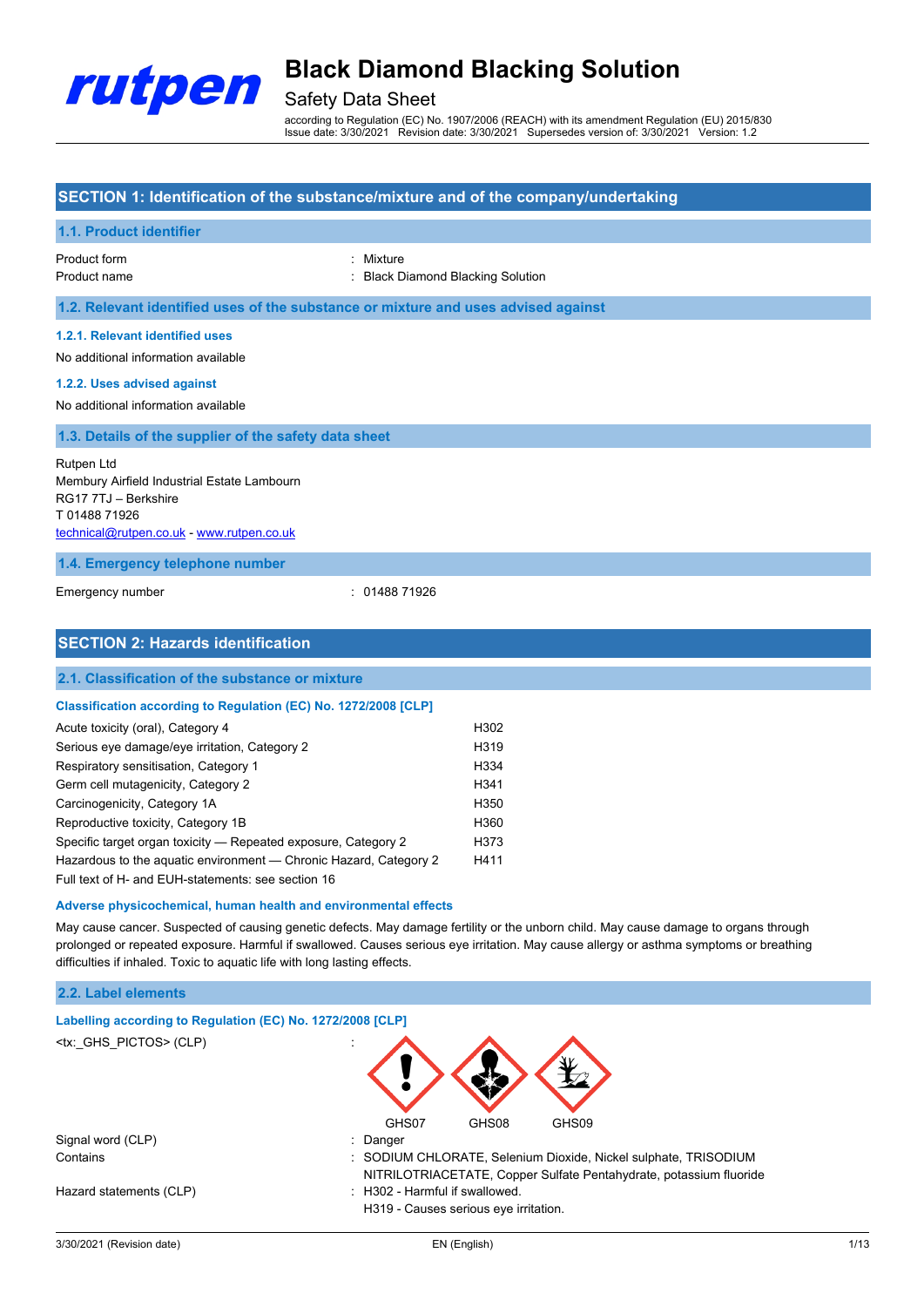

## Safety Data Sheet

according to Regulation (EC) No. 1907/2006 (REACH) with its amendment Regulation (EU) 2015/830 Issue date: 3/30/2021 Revision date: 3/30/2021 Supersedes version of: 3/30/2021 Version: 1.2

### **SECTION 1: Identification of the substance/mixture and of the company/undertaking**

Germ cell mutagenicity, Category 2 H341 Carcinogenicity, Category 1A **H350** Reproductive toxicity, Category 1B H360 Specific target organ toxicity — Repeated exposure, Category 2 H373 Hazardous to the aquatic environment — Chronic Hazard, Category 2 H411

**Adverse physicochemical, human health and environmental effects**

difficulties if inhaled. Toxic to aquatic life with long lasting effects.

**Labelling according to Regulation (EC) No. 1272/2008 [CLP]**

Signal word (CLP) **in the set of the CLP** in the Signal word (CLP) **in the Signal word (CLP**)

Hazard statements (CLP)  $\qquad \qquad$ : H302 - Harmful if swallowed.

Full text of H- and EUH-statements: see section 16

| 1.1. Product identifier                                                                                                                               |                                                                                    |
|-------------------------------------------------------------------------------------------------------------------------------------------------------|------------------------------------------------------------------------------------|
| Product form<br>Product name                                                                                                                          | : Mixture<br><b>Black Diamond Blacking Solution</b>                                |
|                                                                                                                                                       | 1.2. Relevant identified uses of the substance or mixture and uses advised against |
| 1.2.1. Relevant identified uses<br>No additional information available                                                                                |                                                                                    |
| 1.2.2. Uses advised against<br>No additional information available                                                                                    |                                                                                    |
| 1.3. Details of the supplier of the safety data sheet                                                                                                 |                                                                                    |
| <b>Rutpen Ltd</b><br>Membury Airfield Industrial Estate Lambourn<br>RG17 7TJ - Berkshire<br>T0148871926<br>technical@rutpen.co.uk - www.rutpen.co.uk  |                                                                                    |
| 1.4. Emergency telephone number                                                                                                                       |                                                                                    |
| Emergency number                                                                                                                                      | 01488 71926                                                                        |
| <b>SECTION 2: Hazards identification</b>                                                                                                              |                                                                                    |
| 2.1. Classification of the substance or mixture                                                                                                       |                                                                                    |
| Classification according to Regulation (EC) No. 1272/2008 [CLP]<br>Acute toxicity (oral), Category 4<br>Serious eye damage/eye irritation, Category 2 | H302<br>H319                                                                       |
| Respiratory sensitisation, Category 1                                                                                                                 | H334                                                                               |

**2.2. Label elements**

<tx:\_GHS\_PICTOS>(CLP)

3/30/2021 (Revision date) EN (English) 1/13

H319 - Causes serious eye irritation.

GHS07 GHS08 GHS09

NITRILOTRIACETATE, Copper Sulfate Pentahydrate, potassium fluoride

May cause cancer. Suspected of causing genetic defects. May damage fertility or the unborn child. May cause damage to organs through prolonged or repeated exposure. Harmful if swallowed. Causes serious eye irritation. May cause allergy or asthma symptoms or breathing

Contains : SODIUM CHLORATE, Selenium Dioxide, Nickel sulphate, TRISODIUM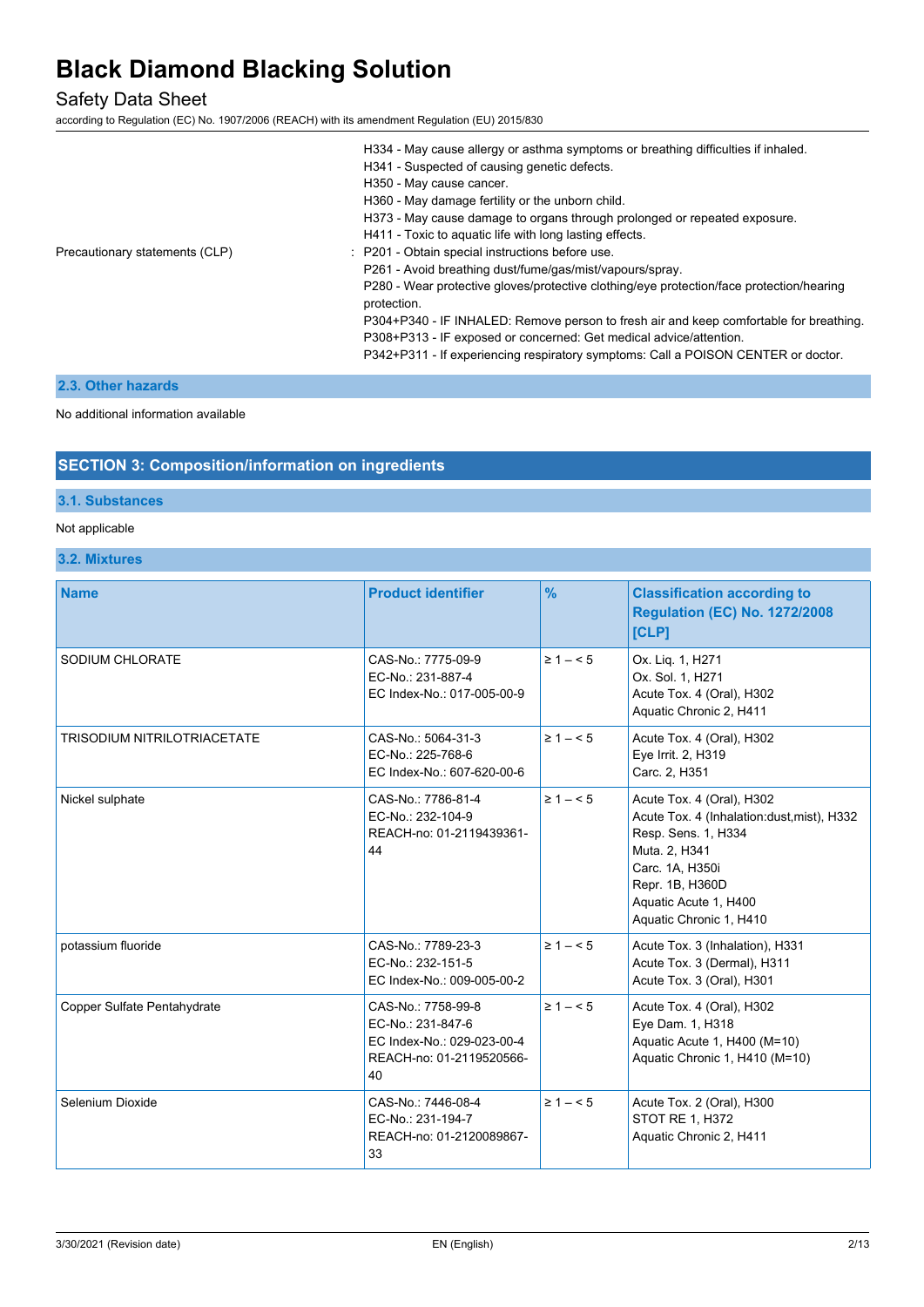## Safety Data Sheet

according to Regulation (EC) No. 1907/2006 (REACH) with its amendment Regulation (EU) 2015/830

|                                | H334 - May cause allergy or asthma symptoms or breathing difficulties if inhaled.                       |
|--------------------------------|---------------------------------------------------------------------------------------------------------|
|                                | H341 - Suspected of causing genetic defects.                                                            |
|                                | H350 - May cause cancer.                                                                                |
|                                | H360 - May damage fertility or the unborn child.                                                        |
|                                | H373 - May cause damage to organs through prolonged or repeated exposure.                               |
|                                | H411 - Toxic to aquatic life with long lasting effects.                                                 |
| Precautionary statements (CLP) | : P201 - Obtain special instructions before use.                                                        |
|                                | P261 - Avoid breathing dust/fume/gas/mist/vapours/spray.                                                |
|                                | P280 - Wear protective gloves/protective clothing/eye protection/face protection/hearing<br>protection. |
|                                | P304+P340 - IF INHALED: Remove person to fresh air and keep comfortable for breathing.                  |
|                                | P308+P313 - IF exposed or concerned: Get medical advice/attention.                                      |
|                                | P342+P311 - If experiencing respiratory symptoms: Call a POISON CENTER or doctor.                       |
|                                |                                                                                                         |

### **2.3. Other hazards**

No additional information available

### **SECTION 3: Composition/information on ingredients**

### **3.1. Substances**

#### Not applicable

**3.2. Mixtures**

| <b>Name</b>                        | <b>Product identifier</b>                                                                               | $\frac{9}{6}$ | <b>Classification according to</b><br><b>Regulation (EC) No. 1272/2008</b><br>[CLP]                                                                                                                       |
|------------------------------------|---------------------------------------------------------------------------------------------------------|---------------|-----------------------------------------------------------------------------------------------------------------------------------------------------------------------------------------------------------|
| SODIUM CHLORATE                    | CAS-No.: 7775-09-9<br>EC-No.: 231-887-4<br>EC Index-No.: 017-005-00-9                                   | $\geq 1 - 5$  | Ox. Liq. 1, H271<br>Ox. Sol. 1, H271<br>Acute Tox. 4 (Oral), H302<br>Aquatic Chronic 2, H411                                                                                                              |
| <b>TRISODIUM NITRILOTRIACETATE</b> | CAS-No.: 5064-31-3<br>EC-No.: 225-768-6<br>EC Index-No.: 607-620-00-6                                   | $\geq 1 - 5$  | Acute Tox. 4 (Oral), H302<br>Eye Irrit. 2, H319<br>Carc. 2, H351                                                                                                                                          |
| Nickel sulphate                    | CAS-No.: 7786-81-4<br>EC-No.: 232-104-9<br>REACH-no: 01-2119439361-<br>44                               | $\geq 1 - 5$  | Acute Tox. 4 (Oral), H302<br>Acute Tox. 4 (Inhalation:dust, mist), H332<br>Resp. Sens. 1, H334<br>Muta. 2, H341<br>Carc. 1A, H350i<br>Repr. 1B, H360D<br>Aquatic Acute 1, H400<br>Aquatic Chronic 1, H410 |
| potassium fluoride                 | CAS-No.: 7789-23-3<br>EC-No.: 232-151-5<br>EC Index-No.: 009-005-00-2                                   | $\geq 1 - 5$  | Acute Tox. 3 (Inhalation), H331<br>Acute Tox. 3 (Dermal), H311<br>Acute Tox. 3 (Oral), H301                                                                                                               |
| Copper Sulfate Pentahydrate        | CAS-No.: 7758-99-8<br>EC-No.: 231-847-6<br>EC Index-No.: 029-023-00-4<br>REACH-no: 01-2119520566-<br>40 | $\geq 1 - 5$  | Acute Tox. 4 (Oral), H302<br>Eye Dam. 1, H318<br>Aquatic Acute 1, H400 (M=10)<br>Aquatic Chronic 1, H410 (M=10)                                                                                           |
| Selenium Dioxide                   | CAS-No.: 7446-08-4<br>EC-No.: 231-194-7<br>REACH-no: 01-2120089867-<br>33                               | $\geq 1 - 5$  | Acute Tox. 2 (Oral), H300<br><b>STOT RE 1, H372</b><br>Aquatic Chronic 2, H411                                                                                                                            |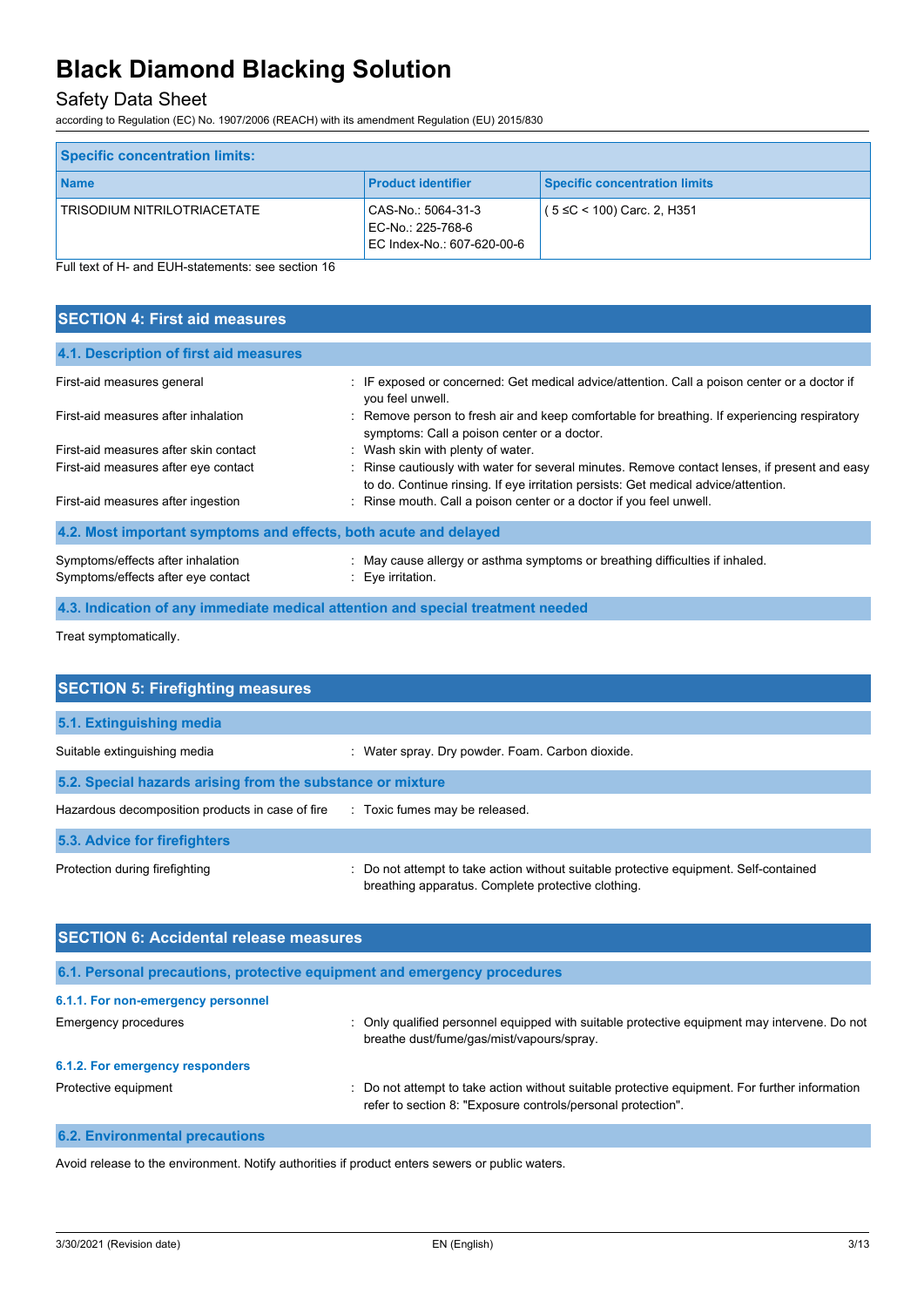## Safety Data Sheet

according to Regulation (EC) No. 1907/2006 (REACH) with its amendment Regulation (EU) 2015/830

| <b>Specific concentration limits:</b> |                                                                       |                                      |
|---------------------------------------|-----------------------------------------------------------------------|--------------------------------------|
| <b>Name</b>                           | <b>Product identifier</b>                                             | <b>Specific concentration limits</b> |
| TRISODIUM NITRILOTRIACETATE           | CAS-No.: 5064-31-3<br>EC-No.: 225-768-6<br>EC Index-No.: 607-620-00-6 | $(5 \leq C < 100)$ Carc. 2, H351     |

Full text of H- and EUH-statements: see section 16

| <b>SECTION 4: First aid measures</b>                                    |                                                                                                                                                                                     |  |  |
|-------------------------------------------------------------------------|-------------------------------------------------------------------------------------------------------------------------------------------------------------------------------------|--|--|
| 4.1. Description of first aid measures                                  |                                                                                                                                                                                     |  |  |
| First-aid measures general                                              | : IF exposed or concerned: Get medical advice/attention. Call a poison center or a doctor if<br>you feel unwell.                                                                    |  |  |
| First-aid measures after inhalation                                     | : Remove person to fresh air and keep comfortable for breathing. If experiencing respiratory<br>symptoms: Call a poison center or a doctor.                                         |  |  |
| First-aid measures after skin contact                                   | : Wash skin with plenty of water.                                                                                                                                                   |  |  |
| First-aid measures after eye contact                                    | : Rinse cautiously with water for several minutes. Remove contact lenses, if present and easy<br>to do. Continue rinsing. If eye irritation persists: Get medical advice/attention. |  |  |
| First-aid measures after ingestion                                      | : Rinse mouth. Call a poison center or a doctor if you feel unwell.                                                                                                                 |  |  |
| 4.2. Most important symptoms and effects, both acute and delayed        |                                                                                                                                                                                     |  |  |
| Symptoms/effects after inhalation<br>Symptoms/effects after eye contact | : May cause allergy or asthma symptoms or breathing difficulties if inhaled.<br>$: Eve$ irritation.                                                                                 |  |  |

**4.3. Indication of any immediate medical attention and special treatment needed**

Treat symptomatically.

| <b>SECTION 5: Firefighting measures</b>                                       |                                                                                                                                             |  |  |
|-------------------------------------------------------------------------------|---------------------------------------------------------------------------------------------------------------------------------------------|--|--|
| 5.1. Extinguishing media                                                      |                                                                                                                                             |  |  |
| Suitable extinguishing media                                                  | : Water spray. Dry powder. Foam. Carbon dioxide.                                                                                            |  |  |
| 5.2. Special hazards arising from the substance or mixture                    |                                                                                                                                             |  |  |
| Hazardous decomposition products in case of fire Toxic fumes may be released. |                                                                                                                                             |  |  |
| 5.3. Advice for firefighters                                                  |                                                                                                                                             |  |  |
| Protection during firefighting                                                | : Do not attempt to take action without suitable protective equipment. Self-contained<br>breathing apparatus. Complete protective clothing. |  |  |

| <b>SECTION 6: Accidental release measures</b> |                                                                                                                                                                |  |
|-----------------------------------------------|----------------------------------------------------------------------------------------------------------------------------------------------------------------|--|
|                                               | 6.1. Personal precautions, protective equipment and emergency procedures                                                                                       |  |
| 6.1.1. For non-emergency personnel            |                                                                                                                                                                |  |
| Emergency procedures                          | : Only qualified personnel equipped with suitable protective equipment may intervene. Do not<br>breathe dust/fume/gas/mist/vapours/spray.                      |  |
| 6.1.2. For emergency responders               |                                                                                                                                                                |  |
| Protective equipment                          | : Do not attempt to take action without suitable protective equipment. For further information<br>refer to section 8: "Exposure controls/personal protection". |  |
|                                               |                                                                                                                                                                |  |

#### **6.2. Environmental precautions**

Avoid release to the environment. Notify authorities if product enters sewers or public waters.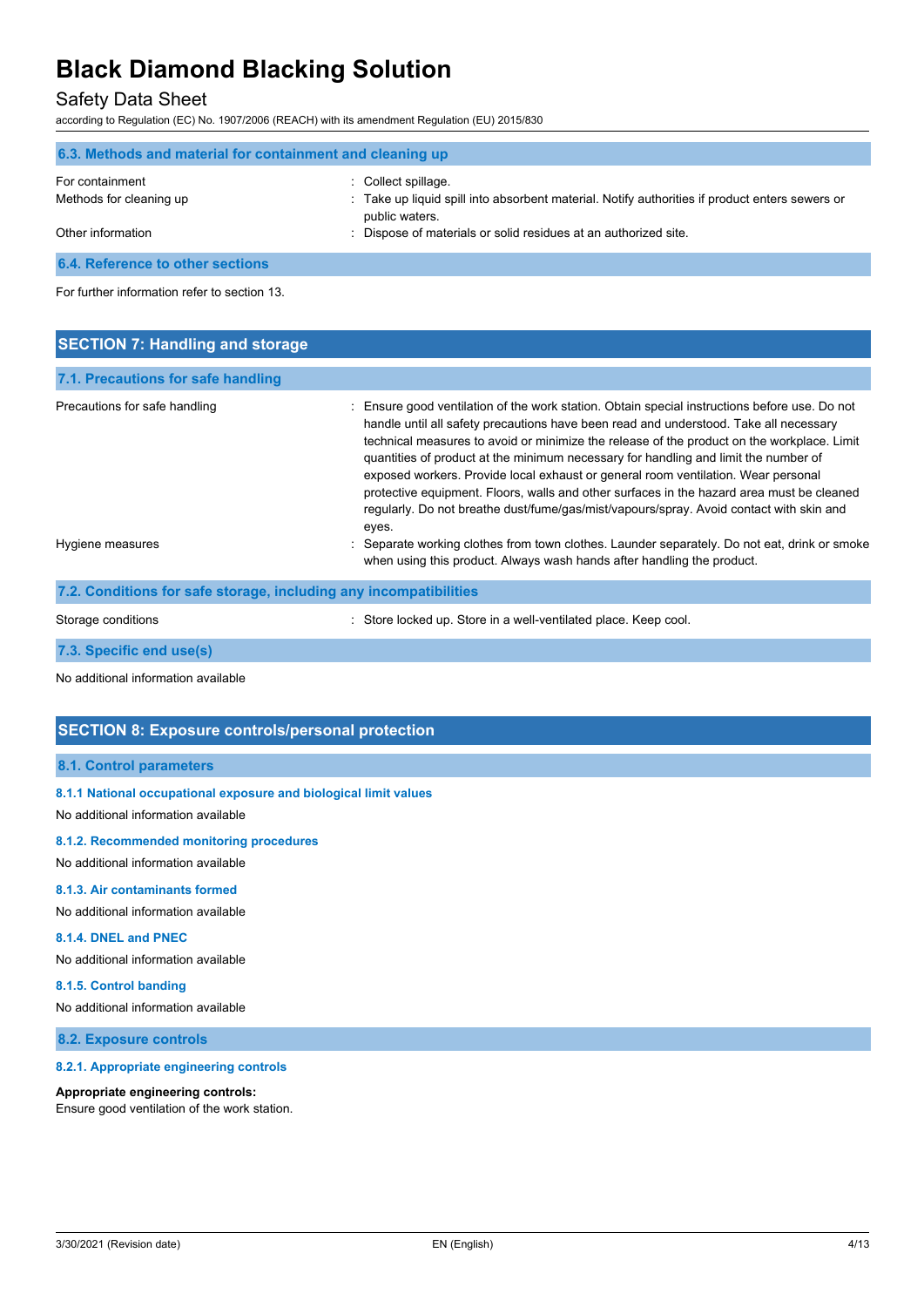### Safety Data Sheet

according to Regulation (EC) No. 1907/2006 (REACH) with its amendment Regulation (EU) 2015/830

| 6.3. Methods and material for containment and cleaning up |                                                                                                                  |  |  |
|-----------------------------------------------------------|------------------------------------------------------------------------------------------------------------------|--|--|
| For containment                                           | : Collect spillage.                                                                                              |  |  |
| Methods for cleaning up                                   | : Take up liquid spill into absorbent material. Notify authorities if product enters sewers or<br>public waters. |  |  |
| Other information                                         | Dispose of materials or solid residues at an authorized site.                                                    |  |  |
| 6.4. Reference to other sections                          |                                                                                                                  |  |  |

For further information refer to section 13.

| <b>SECTION 7: Handling and storage</b>                            |                                                                                                                                                                                                                                                                                                                                                                                                                                                                                                                                                                                                                                                                   |
|-------------------------------------------------------------------|-------------------------------------------------------------------------------------------------------------------------------------------------------------------------------------------------------------------------------------------------------------------------------------------------------------------------------------------------------------------------------------------------------------------------------------------------------------------------------------------------------------------------------------------------------------------------------------------------------------------------------------------------------------------|
| 7.1. Precautions for safe handling                                |                                                                                                                                                                                                                                                                                                                                                                                                                                                                                                                                                                                                                                                                   |
| Precautions for safe handling                                     | : Ensure good ventilation of the work station. Obtain special instructions before use. Do not<br>handle until all safety precautions have been read and understood. Take all necessary<br>technical measures to avoid or minimize the release of the product on the workplace. Limit<br>quantities of product at the minimum necessary for handling and limit the number of<br>exposed workers. Provide local exhaust or general room ventilation. Wear personal<br>protective equipment. Floors, walls and other surfaces in the hazard area must be cleaned<br>regularly. Do not breathe dust/fume/gas/mist/vapours/spray. Avoid contact with skin and<br>eyes. |
| Hygiene measures                                                  | : Separate working clothes from town clothes. Launder separately. Do not eat, drink or smoke<br>when using this product. Always wash hands after handling the product.                                                                                                                                                                                                                                                                                                                                                                                                                                                                                            |
| 7.2. Conditions for safe storage, including any incompatibilities |                                                                                                                                                                                                                                                                                                                                                                                                                                                                                                                                                                                                                                                                   |

Storage conditions **Store In a well-ventilated place. Keep cool.** Store in a well-ventilated place. Keep cool.

**7.3. Specific end use(s)**

No additional information available

### **SECTION 8: Exposure controls/personal protection**

#### **8.1. Control parameters**

#### **8.1.1 National occupational exposure and biological limit values**

No additional information available

#### **8.1.2. Recommended monitoring procedures**

No additional information available

#### **8.1.3. Air contaminants formed**

No additional information available

#### **8.1.4. DNEL and PNEC**

No additional information available

#### **8.1.5. Control banding**

No additional information available

#### **8.2. Exposure controls**

#### **8.2.1. Appropriate engineering controls**

#### **Appropriate engineering controls:**

Ensure good ventilation of the work station.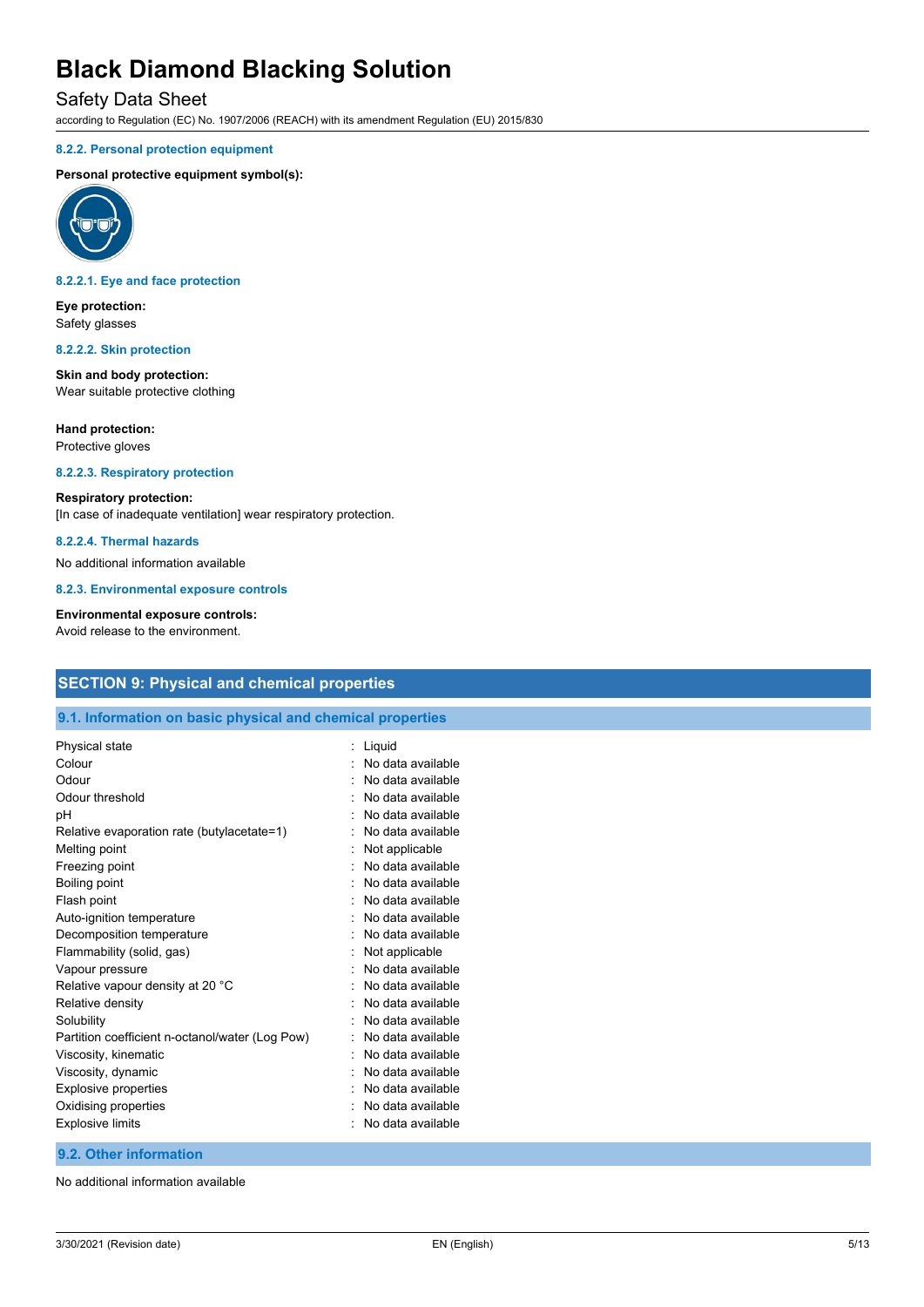### Safety Data Sheet

according to Regulation (EC) No. 1907/2006 (REACH) with its amendment Regulation (EU) 2015/830

#### **8.2.2. Personal protection equipment**

#### **Personal protective equipment symbol(s):**



#### **8.2.2.1. Eye and face protection**

**Eye protection:** Safety glasses

#### **8.2.2.2. Skin protection**

**Skin and body protection:** Wear suitable protective clothing

#### **Hand protection:**

Protective gloves

#### **8.2.2.3. Respiratory protection**

#### **Respiratory protection:**

[In case of inadequate ventilation] wear respiratory protection.

### **8.2.2.4. Thermal hazards**

No additional information available

**8.2.3. Environmental exposure controls**

#### **Environmental exposure controls:**

Avoid release to the environment.

### **SECTION 9: Physical and chemical properties**

#### **9.1. Information on basic physical and chemical properties**

| Physical state                                  | Liquid            |
|-------------------------------------------------|-------------------|
| Colour                                          | No data available |
| Odour                                           | No data available |
| Odour threshold                                 | No data available |
| рH                                              | No data available |
| Relative evaporation rate (butylacetate=1)      | No data available |
| Melting point                                   | Not applicable    |
| Freezing point                                  | No data available |
| Boiling point                                   | No data available |
| Flash point                                     | No data available |
| Auto-ignition temperature                       | No data available |
| Decomposition temperature                       | No data available |
| Flammability (solid, gas)                       | Not applicable    |
| Vapour pressure                                 | No data available |
| Relative vapour density at 20 °C                | No data available |
| Relative density                                | No data available |
| Solubility                                      | No data available |
| Partition coefficient n-octanol/water (Log Pow) | No data available |
| Viscosity, kinematic                            | No data available |
| Viscosity, dynamic                              | No data available |
| Explosive properties                            | No data available |
| Oxidising properties                            | No data available |
| <b>Explosive limits</b>                         | No data available |

#### **9.2. Other information**

No additional information available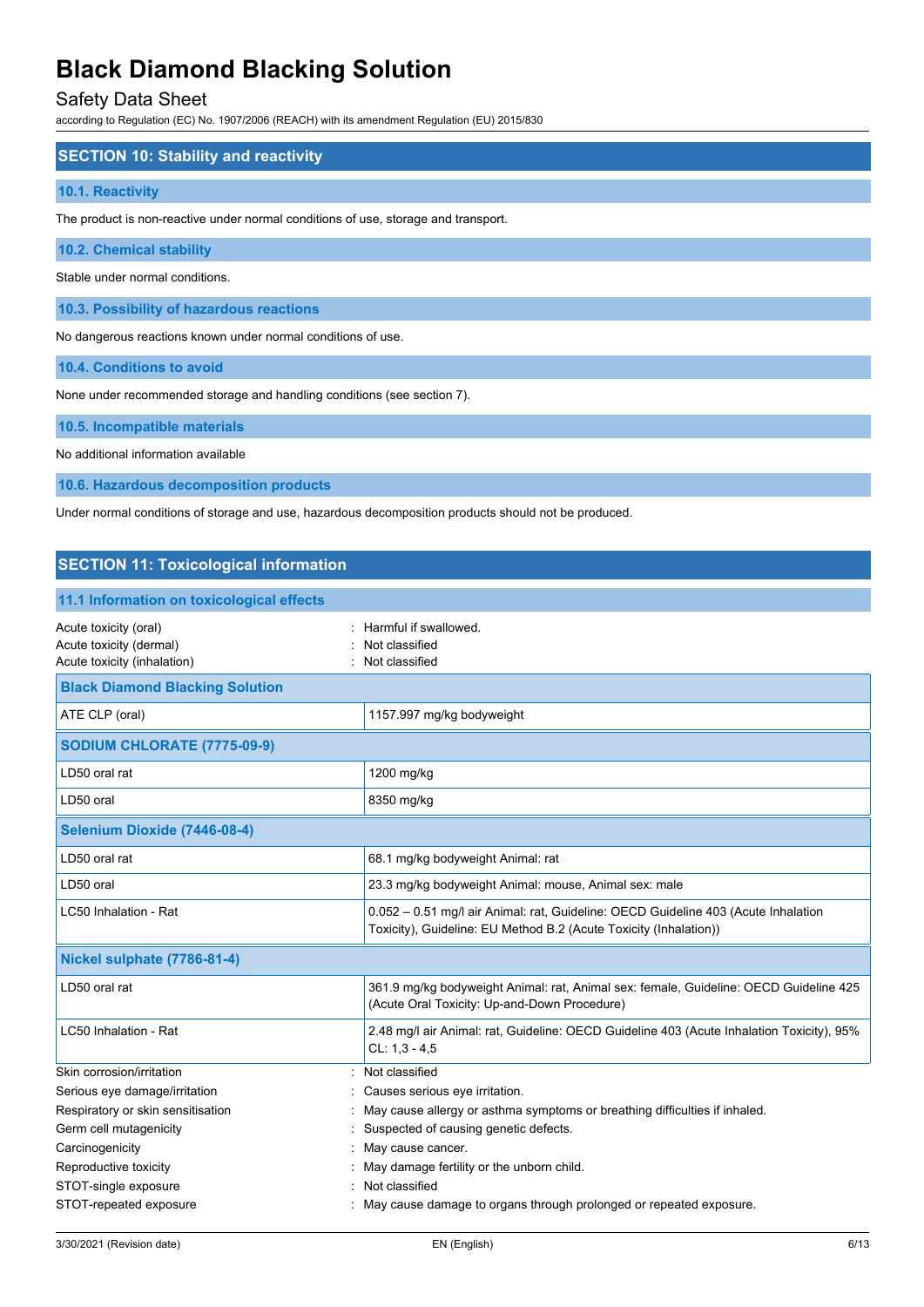### Safety Data Sheet

according to Regulation (EC) No. 1907/2006 (REACH) with its amendment Regulation (EU) 2015/830

#### **SECTION 10: Stability and reactivity**

#### **10.1. Reactivity**

The product is non-reactive under normal conditions of use, storage and transport.

#### **10.2. Chemical stability**

Stable under normal conditions.

**10.3. Possibility of hazardous reactions**

No dangerous reactions known under normal conditions of use.

**10.4. Conditions to avoid**

None under recommended storage and handling conditions (see section 7).

#### **10.5. Incompatible materials**

No additional information available

**10.6. Hazardous decomposition products**

Under normal conditions of storage and use, hazardous decomposition products should not be produced.

## **SECTION 11: Toxicological information 11.1 Information on toxicological effects** Acute toxicity (oral)  $\blacksquare$  : Harmful if swallowed. Acute toxicity (dermal) **Example 2** Acute toxicity (dermal) Acute toxicity (inhalation) **Example 2** Contract 2 Contract 2 Contract 2 Contract 2 Contract 2 Contract 2 Contract 2 Contract 2 Contract 2 Contract 2 Contract 2 Contract 2 Contract 2 Contract 2 Contract 2 Contract 2 Contra **Black Diamond Blacking Solution** ATE CLP (oral) 1157.997 mg/kg bodyweight **SODIUM CHLORATE (7775-09-9)** LD50 oral rat 1200 mg/kg LD50 oral 8350 mg/kg **Selenium Dioxide (7446-08-4)** LD50 oral rat **68.1 mg/kg bodyweight Animal:** rat LD50 oral 23.3 mg/kg bodyweight Animal: mouse, Animal sex: male LC50 Inhalation - Rat 0.052 – 0.51 mg/l air Animal: rat, Guideline: OECD Guideline 403 (Acute Inhalation Toxicity), Guideline: EU Method B.2 (Acute Toxicity (Inhalation)) **Nickel sulphate (7786-81-4)** LD50 oral rat **361.9 mg/kg bodyweight Animal: rat, Animal sex: female, Guideline: OECD Guideline 425** (Acute Oral Toxicity: Up-and-Down Procedure) LC50 Inhalation - Rat 2.48 mg/l air Animal: rat, Guideline: OECD Guideline 403 (Acute Inhalation Toxicity), 95%  $Cl: 1, 3 - 4, 5$ Skin corrosion/irritation **intervalse and the contract of the Cassical** section of the classified Serious eye damage/irritation **interest and the Causes serious eye irritation**. Respiratory or skin sensitisation : May cause allergy or asthma symptoms or breathing difficulties if inhaled. Germ cell mutagenicity **Suspected of causing genetic defects**. Carcinogenicity **Carcinogenicity Carcinogenicity Carcinogenicity Carciacle 2** Reproductive toxicity in the unborn child. Separate the unborn child. STOT-single exposure in the state of the state of the STOT-single exposure STOT-repeated exposure : May cause damage to organs through prolonged or repeated exposure.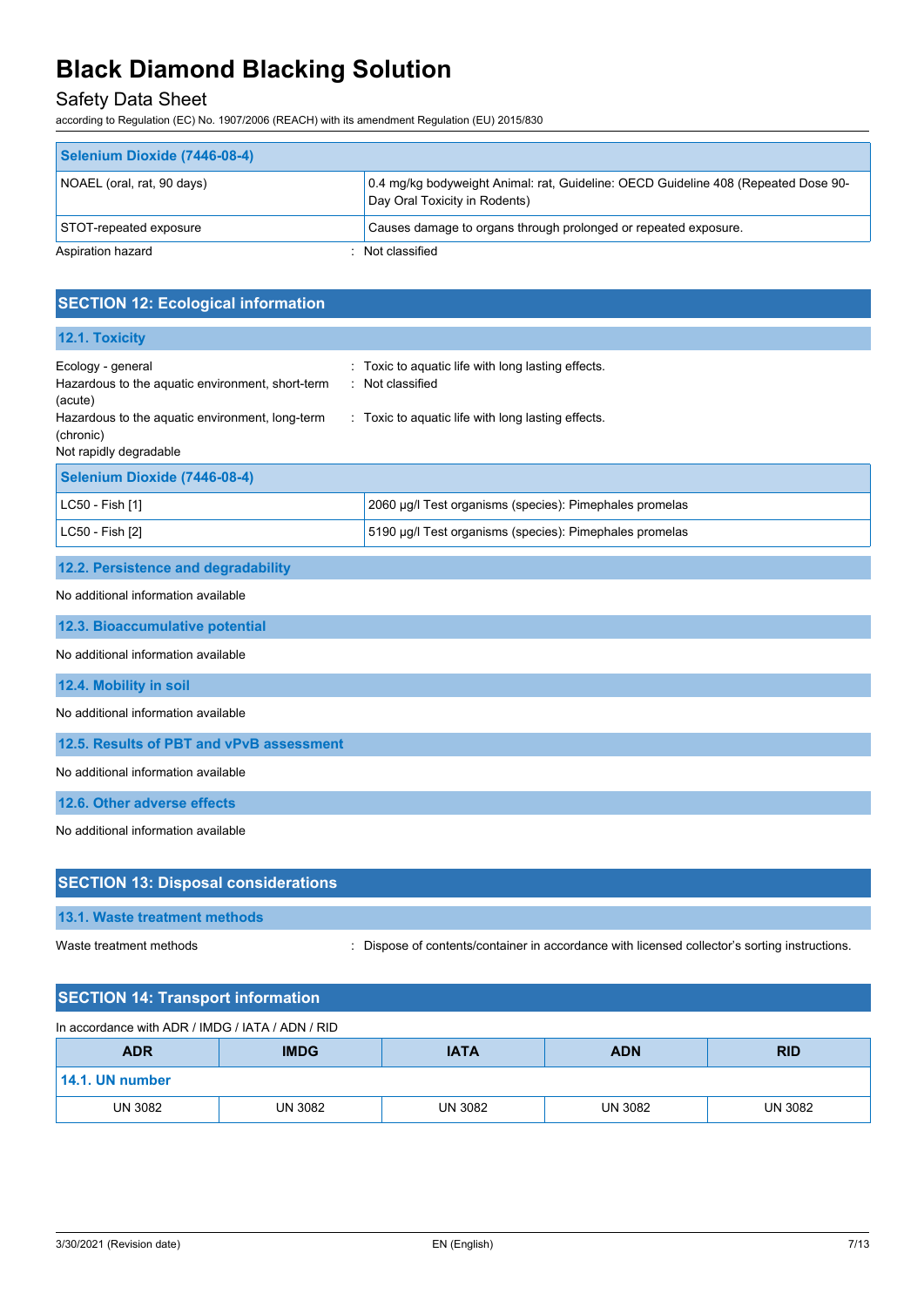## Safety Data Sheet

according to Regulation (EC) No. 1907/2006 (REACH) with its amendment Regulation (EU) 2015/830

| Selenium Dioxide (7446-08-4) |                                                                                                                     |
|------------------------------|---------------------------------------------------------------------------------------------------------------------|
| NOAEL (oral, rat, 90 days)   | 0.4 mg/kg bodyweight Animal: rat, Guideline: OECD Guideline 408 (Repeated Dose 90-<br>Day Oral Toxicity in Rodents) |
| STOT-repeated exposure       | Causes damage to organs through prolonged or repeated exposure.                                                     |
| Aspiration hazard            | Not classified                                                                                                      |

| <b>SECTION 12: Ecological information</b>                                                                                           |                                                                                                                          |
|-------------------------------------------------------------------------------------------------------------------------------------|--------------------------------------------------------------------------------------------------------------------------|
| 12.1. Toxicity                                                                                                                      |                                                                                                                          |
| Ecology - general<br>Hazardous to the aquatic environment, short-term<br>(acute)<br>Hazardous to the aquatic environment, long-term | Toxic to aquatic life with long lasting effects.<br>Not classified<br>: Toxic to aquatic life with long lasting effects. |
| (chronic)<br>Not rapidly degradable                                                                                                 |                                                                                                                          |
| Selenium Dioxide (7446-08-4)                                                                                                        |                                                                                                                          |
| LC50 - Fish [1]                                                                                                                     | 2060 µg/l Test organisms (species): Pimephales promelas                                                                  |
| LC50 - Fish [2]                                                                                                                     | 5190 µg/l Test organisms (species): Pimephales promelas                                                                  |
| 12.2. Persistence and degradability                                                                                                 |                                                                                                                          |
| No additional information available                                                                                                 |                                                                                                                          |
| 12.3. Bioaccumulative potential                                                                                                     |                                                                                                                          |
| No additional information available                                                                                                 |                                                                                                                          |
| 12.4. Mobility in soil                                                                                                              |                                                                                                                          |
| No additional information available                                                                                                 |                                                                                                                          |
| 12.5. Results of PBT and vPvB assessment                                                                                            |                                                                                                                          |
| No additional information available                                                                                                 |                                                                                                                          |
| 12.6. Other adverse effects                                                                                                         |                                                                                                                          |
| No additional information available                                                                                                 |                                                                                                                          |
|                                                                                                                                     |                                                                                                                          |
| <b>SECTION 13: Disposal considerations</b>                                                                                          |                                                                                                                          |
| 13.1. Waste treatment methods                                                                                                       |                                                                                                                          |
| Waste treatment methods                                                                                                             | Dispose of contents/container in accordance with licensed collector's sorting instructions.                              |

## **SECTION 14: Transport information**

| In accordance with ADR / IMDG / IATA / ADN / RID                     |         |                |         |                |
|----------------------------------------------------------------------|---------|----------------|---------|----------------|
| <b>IMDG</b><br><b>ADR</b><br><b>IATA</b><br><b>ADN</b><br><b>RID</b> |         |                |         |                |
| $\mid$ 14.1. UN number                                               |         |                |         |                |
| <b>UN 3082</b>                                                       | UN 3082 | <b>UN 3082</b> | UN 3082 | <b>UN 3082</b> |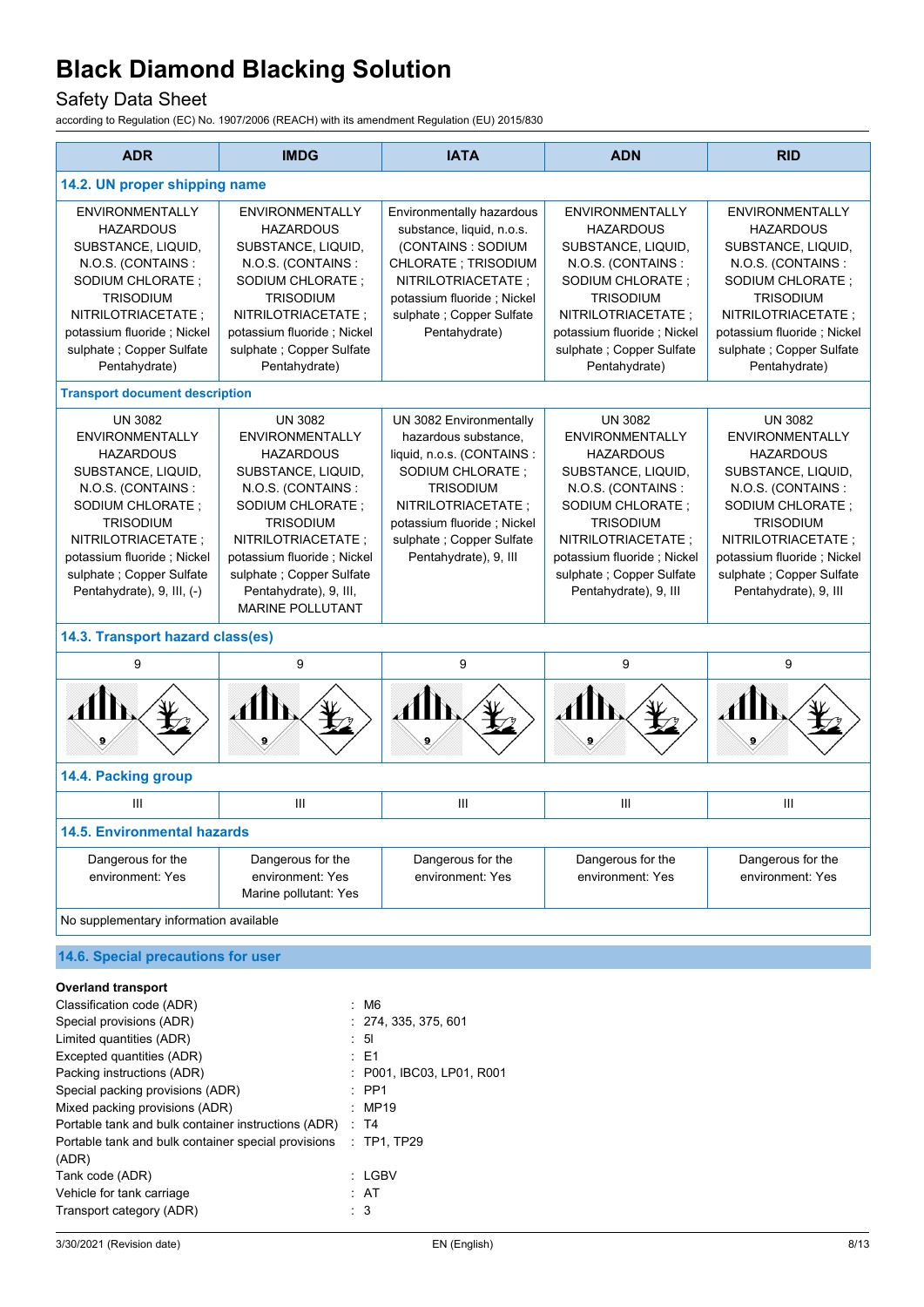## Safety Data Sheet

| <b>ADR</b>                                                                                                                                                                                                                                                     | <b>IMDG</b>                                                                                                                                                                                                                                                                          | <b>IATA</b>                                                                                                                                                                                                                    | <b>ADN</b>                                                                                                                                                                                                                                               | <b>RID</b>                                                                                                                                                                                                                                                |
|----------------------------------------------------------------------------------------------------------------------------------------------------------------------------------------------------------------------------------------------------------------|--------------------------------------------------------------------------------------------------------------------------------------------------------------------------------------------------------------------------------------------------------------------------------------|--------------------------------------------------------------------------------------------------------------------------------------------------------------------------------------------------------------------------------|----------------------------------------------------------------------------------------------------------------------------------------------------------------------------------------------------------------------------------------------------------|-----------------------------------------------------------------------------------------------------------------------------------------------------------------------------------------------------------------------------------------------------------|
| 14.2. UN proper shipping name                                                                                                                                                                                                                                  |                                                                                                                                                                                                                                                                                      |                                                                                                                                                                                                                                |                                                                                                                                                                                                                                                          |                                                                                                                                                                                                                                                           |
| <b>ENVIRONMENTALLY</b><br><b>HAZARDOUS</b><br>SUBSTANCE, LIQUID,<br>N.O.S. (CONTAINS:<br>SODIUM CHLORATE;<br><b>TRISODIUM</b><br>NITRILOTRIACETATE;<br>potassium fluoride; Nickel<br>sulphate ; Copper Sulfate<br>Pentahydrate)                                | <b>ENVIRONMENTALLY</b><br><b>HAZARDOUS</b><br>SUBSTANCE, LIQUID,<br>N.O.S. (CONTAINS:<br>SODIUM CHLORATE;<br><b>TRISODIUM</b><br>NITRILOTRIACETATE;<br>potassium fluoride; Nickel<br>sulphate ; Copper Sulfate<br>Pentahydrate)                                                      | Environmentally hazardous<br>substance, liquid, n.o.s.<br>(CONTAINS: SODIUM<br>CHLORATE; TRISODIUM<br>NITRILOTRIACETATE;<br>potassium fluoride; Nickel<br>sulphate ; Copper Sulfate<br>Pentahydrate)                           | <b>ENVIRONMENTALLY</b><br><b>HAZARDOUS</b><br>SUBSTANCE, LIQUID,<br>N.O.S. (CONTAINS:<br>SODIUM CHLORATE;<br><b>TRISODIUM</b><br>NITRILOTRIACETATE;<br>potassium fluoride; Nickel<br>sulphate ; Copper Sulfate<br>Pentahydrate)                          | <b>ENVIRONMENTALLY</b><br><b>HAZARDOUS</b><br>SUBSTANCE, LIQUID,<br>N.O.S. (CONTAINS:<br>SODIUM CHLORATE;<br><b>TRISODIUM</b><br>NITRILOTRIACETATE ;<br>potassium fluoride; Nickel<br>sulphate ; Copper Sulfate<br>Pentahydrate)                          |
| <b>Transport document description</b>                                                                                                                                                                                                                          |                                                                                                                                                                                                                                                                                      |                                                                                                                                                                                                                                |                                                                                                                                                                                                                                                          |                                                                                                                                                                                                                                                           |
| <b>UN 3082</b><br><b>ENVIRONMENTALLY</b><br><b>HAZARDOUS</b><br>SUBSTANCE, LIQUID,<br>N.O.S. (CONTAINS:<br>SODIUM CHLORATE;<br><b>TRISODIUM</b><br>NITRILOTRIACETATE :<br>potassium fluoride; Nickel<br>sulphate; Copper Sulfate<br>Pentahydrate), 9, III, (-) | <b>UN 3082</b><br><b>ENVIRONMENTALLY</b><br><b>HAZARDOUS</b><br>SUBSTANCE, LIQUID,<br>N.O.S. (CONTAINS:<br>SODIUM CHLORATE;<br><b>TRISODIUM</b><br>NITRILOTRIACETATE;<br>potassium fluoride; Nickel<br>sulphate; Copper Sulfate<br>Pentahydrate), 9, III,<br><b>MARINE POLLUTANT</b> | UN 3082 Environmentally<br>hazardous substance,<br>liquid, n.o.s. (CONTAINS :<br>SODIUM CHLORATE;<br><b>TRISODIUM</b><br>NITRILOTRIACETATE;<br>potassium fluoride; Nickel<br>sulphate; Copper Sulfate<br>Pentahydrate), 9, III | <b>UN 3082</b><br><b>ENVIRONMENTALLY</b><br><b>HAZARDOUS</b><br>SUBSTANCE, LIQUID,<br>N.O.S. (CONTAINS:<br>SODIUM CHLORATE;<br><b>TRISODIUM</b><br>NITRILOTRIACETATE;<br>potassium fluoride; Nickel<br>sulphate; Copper Sulfate<br>Pentahydrate), 9, III | <b>UN 3082</b><br><b>ENVIRONMENTALLY</b><br><b>HAZARDOUS</b><br>SUBSTANCE, LIQUID,<br>N.O.S. (CONTAINS:<br>SODIUM CHLORATE;<br><b>TRISODIUM</b><br>NITRILOTRIACETATE;<br>potassium fluoride; Nickel<br>sulphate ; Copper Sulfate<br>Pentahydrate), 9, III |
| 14.3. Transport hazard class(es)                                                                                                                                                                                                                               |                                                                                                                                                                                                                                                                                      |                                                                                                                                                                                                                                |                                                                                                                                                                                                                                                          |                                                                                                                                                                                                                                                           |
| 9                                                                                                                                                                                                                                                              | 9                                                                                                                                                                                                                                                                                    | 9                                                                                                                                                                                                                              | 9                                                                                                                                                                                                                                                        | 9                                                                                                                                                                                                                                                         |
|                                                                                                                                                                                                                                                                |                                                                                                                                                                                                                                                                                      |                                                                                                                                                                                                                                | AIN                                                                                                                                                                                                                                                      |                                                                                                                                                                                                                                                           |
| 14.4. Packing group                                                                                                                                                                                                                                            |                                                                                                                                                                                                                                                                                      |                                                                                                                                                                                                                                |                                                                                                                                                                                                                                                          |                                                                                                                                                                                                                                                           |
| $\mathbf{III}$                                                                                                                                                                                                                                                 | Ш                                                                                                                                                                                                                                                                                    | Ш                                                                                                                                                                                                                              | Ш                                                                                                                                                                                                                                                        | Ш                                                                                                                                                                                                                                                         |
| <b>14.5. Environmental hazards</b>                                                                                                                                                                                                                             |                                                                                                                                                                                                                                                                                      |                                                                                                                                                                                                                                |                                                                                                                                                                                                                                                          |                                                                                                                                                                                                                                                           |
| Dangerous for the<br>environment: Yes                                                                                                                                                                                                                          | Dangerous for the<br>environment: Yes<br>Marine pollutant: Yes                                                                                                                                                                                                                       | Dangerous for the<br>environment: Yes                                                                                                                                                                                          | Dangerous for the<br>environment: Yes                                                                                                                                                                                                                    | Dangerous for the<br>environment: Yes                                                                                                                                                                                                                     |
| No supplementary information available                                                                                                                                                                                                                         |                                                                                                                                                                                                                                                                                      |                                                                                                                                                                                                                                |                                                                                                                                                                                                                                                          |                                                                                                                                                                                                                                                           |
| 14.6. Special precautions for user                                                                                                                                                                                                                             |                                                                                                                                                                                                                                                                                      |                                                                                                                                                                                                                                |                                                                                                                                                                                                                                                          |                                                                                                                                                                                                                                                           |
| <b>Overland transport</b><br>Classification code (ADR)                                                                                                                                                                                                         | $·$ M <sub>6</sub>                                                                                                                                                                                                                                                                   |                                                                                                                                                                                                                                |                                                                                                                                                                                                                                                          |                                                                                                                                                                                                                                                           |

| Classification code (ADR)                           | : M6                      |
|-----------------------------------------------------|---------------------------|
| Special provisions (ADR)                            | : 274, 335, 375, 601      |
| Limited quantities (ADR)                            | : 51                      |
| Excepted quantities (ADR)                           | $\pm$ E1                  |
| Packing instructions (ADR)                          | : P001. IBC03. LP01. R001 |
| Special packing provisions (ADR)                    | $\therefore$ PP1          |
| Mixed packing provisions (ADR)                      | $\therefore$ MP19         |
| Portable tank and bulk container instructions (ADR) | $\therefore$ T4           |
| Portable tank and bulk container special provisions | $:$ TP1, TP29             |
| (ADR)                                               |                           |
| Tank code (ADR)                                     | $:$ LGBV                  |
| Vehicle for tank carriage                           | : AT                      |
| Transport category (ADR)                            | : 3                       |
|                                                     |                           |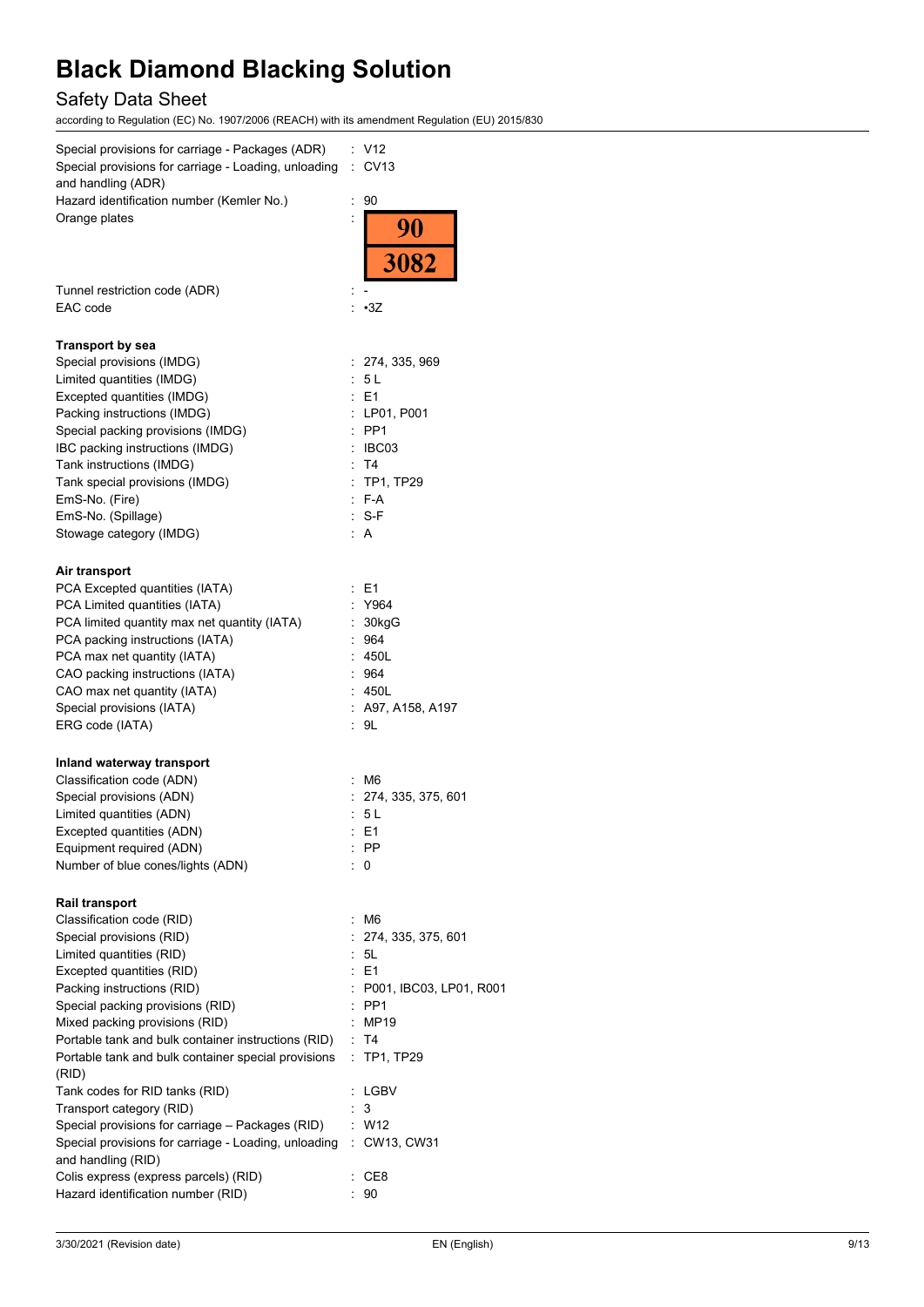## Safety Data Sheet

| Special provisions for carriage - Packages (ADR)<br>Special provisions for carriage - Loading, unloading<br>and handling (ADR) | : V12<br><b>CV13</b><br>÷.   |
|--------------------------------------------------------------------------------------------------------------------------------|------------------------------|
| Hazard identification number (Kemler No.)<br>Orange plates                                                                     | 90<br>÷<br>$\frac{90}{3082}$ |
| Tunnel restriction code (ADR)<br>EAC code                                                                                      | $\cdot$ 3Z                   |
|                                                                                                                                |                              |
| <b>Transport by sea</b><br>Special provisions (IMDG)                                                                           | : 274, 335, 969              |
| Limited quantities (IMDG)                                                                                                      | : 5 L                        |
| Excepted quantities (IMDG)                                                                                                     | : E1                         |
| Packing instructions (IMDG)                                                                                                    | : LP01, P001                 |
| Special packing provisions (IMDG)                                                                                              | $:$ PP1                      |
| IBC packing instructions (IMDG)                                                                                                | $\therefore$ IBC03           |
| Tank instructions (IMDG)                                                                                                       | : T4                         |
| Tank special provisions (IMDG)                                                                                                 | : TP1, TP29                  |
| EmS-No. (Fire)                                                                                                                 | $F-A$                        |
| EmS-No. (Spillage)                                                                                                             | : S-F                        |
| Stowage category (IMDG)                                                                                                        | A                            |
| Air transport                                                                                                                  |                              |
| PCA Excepted quantities (IATA)                                                                                                 | : E1                         |
| PCA Limited quantities (IATA)                                                                                                  | : Y964                       |
| PCA limited quantity max net quantity (IATA)                                                                                   | 30kgG<br>÷.                  |
| PCA packing instructions (IATA)                                                                                                | :964                         |
| PCA max net quantity (IATA)                                                                                                    | : 450L                       |
| CAO packing instructions (IATA)                                                                                                | : 964                        |
| CAO max net quantity (IATA)                                                                                                    | : 450L                       |
| Special provisions (IATA)<br>ERG code (IATA)                                                                                   | : A97, A158, A197<br>: 9L    |
|                                                                                                                                |                              |
| Inland waterway transport                                                                                                      |                              |
| Classification code (ADN)                                                                                                      | M6                           |
| Special provisions (ADN)                                                                                                       | : 274, 335, 375, 601         |
| Limited quantities (ADN)<br>Excepted quantities (ADN)                                                                          | : 5 L                        |
| Equipment required (ADN)                                                                                                       | E1<br>: PP                   |
| Number of blue cones/lights (ADN)                                                                                              | : 0                          |
|                                                                                                                                |                              |
| <b>Rail transport</b>                                                                                                          |                              |
| Classification code (RID)                                                                                                      | M6<br>÷.                     |
| Special provisions (RID)                                                                                                       | 274, 335, 375, 601<br>: 5L   |
| Limited quantities (RID)<br>Excepted quantities (RID)                                                                          | $E = 1$                      |
| Packing instructions (RID)                                                                                                     | : P001, IBC03, LP01, R001    |
| Special packing provisions (RID)                                                                                               | $:$ PP1                      |
| Mixed packing provisions (RID)                                                                                                 | : MP19                       |
| Portable tank and bulk container instructions (RID)                                                                            | : T4                         |
| Portable tank and bulk container special provisions<br>(RID)                                                                   | : TP1, TP29                  |
| Tank codes for RID tanks (RID)                                                                                                 | : LGBV                       |
| Transport category (RID)                                                                                                       | 3                            |
| Special provisions for carriage - Packages (RID)                                                                               | $:$ W12                      |
| Special provisions for carriage - Loading, unloading                                                                           | : CW13, CW31                 |
| and handling (RID)                                                                                                             |                              |
| Colis express (express parcels) (RID)                                                                                          | CE8                          |
| Hazard identification number (RID)                                                                                             | 90                           |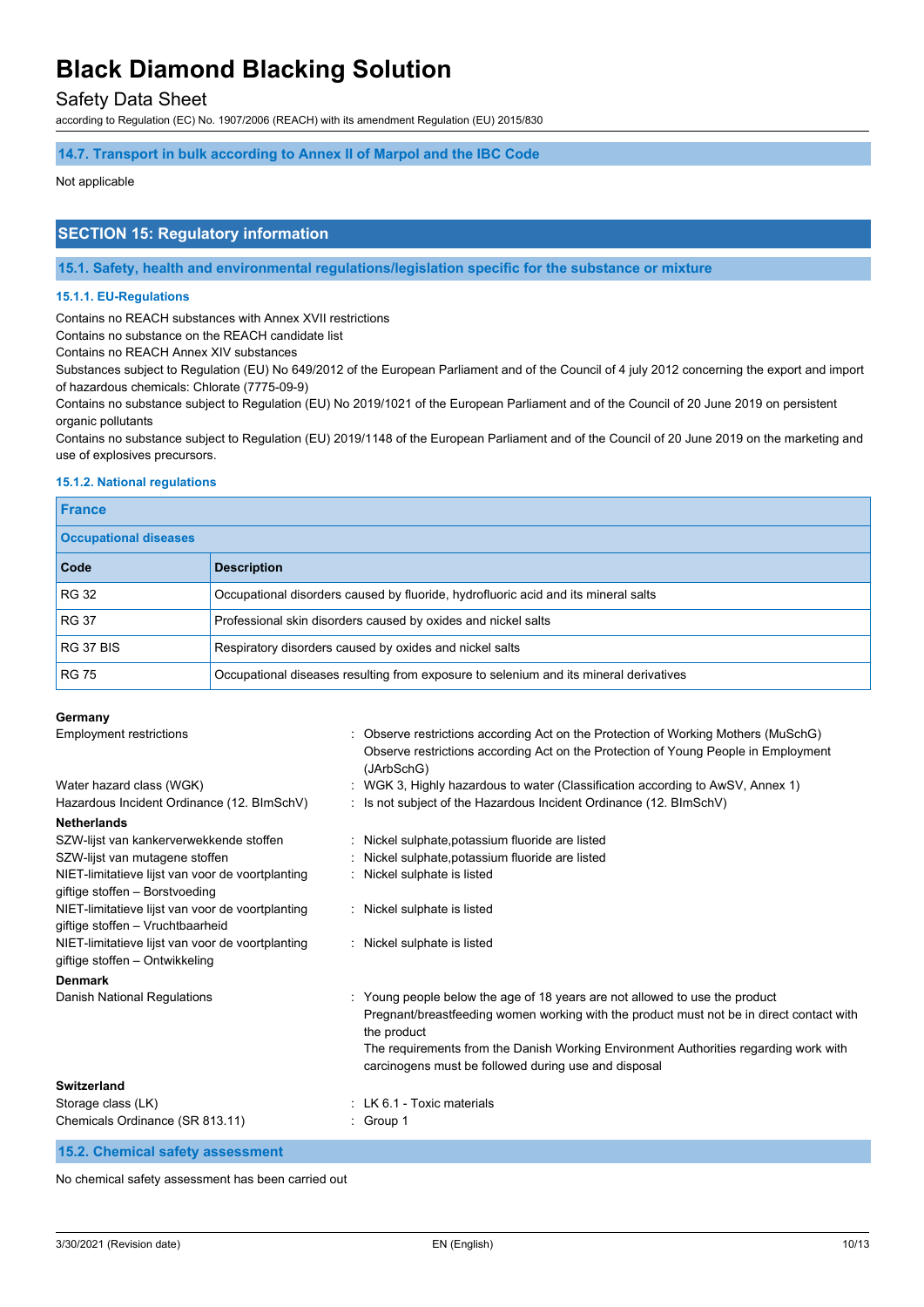### Safety Data Sheet

according to Regulation (EC) No. 1907/2006 (REACH) with its amendment Regulation (EU) 2015/830

### **14.7. Transport in bulk according to Annex II of Marpol and the IBC Code**

#### Not applicable

### **SECTION 15: Regulatory information**

**15.1. Safety, health and environmental regulations/legislation specific for the substance or mixture**

#### **15.1.1. EU-Regulations**

Contains no REACH substances with Annex XVII restrictions

Contains no substance on the REACH candidate list

Contains no REACH Annex XIV substances

Substances subject to Regulation (EU) No 649/2012 of the European Parliament and of the Council of 4 july 2012 concerning the export and import of hazardous chemicals: Chlorate (7775-09-9)

Contains no substance subject to Regulation (EU) No 2019/1021 of the European Parliament and of the Council of 20 June 2019 on persistent organic pollutants

Contains no substance subject to Regulation (EU) 2019/1148 of the European Parliament and of the Council of 20 June 2019 on the marketing and use of explosives precursors.

#### **15.1.2. National regulations**

| <b>France</b>                |                                                                                       |  |
|------------------------------|---------------------------------------------------------------------------------------|--|
| <b>Occupational diseases</b> |                                                                                       |  |
| Code                         | <b>Description</b>                                                                    |  |
| <b>RG 32</b>                 | Occupational disorders caused by fluoride, hydrofluoric acid and its mineral salts    |  |
| <b>RG 37</b>                 | Professional skin disorders caused by oxides and nickel salts                         |  |
| RG 37 BIS                    | Respiratory disorders caused by oxides and nickel salts                               |  |
| <b>RG 75</b>                 | Occupational diseases resulting from exposure to selenium and its mineral derivatives |  |

#### **Germany**

| <b>Employment restrictions</b>                                                       | : Observe restrictions according Act on the Protection of Working Mothers (MuSchG)<br>Observe restrictions according Act on the Protection of Young People in Employment<br>(JArbSchG)                                                                                                                                               |
|--------------------------------------------------------------------------------------|--------------------------------------------------------------------------------------------------------------------------------------------------------------------------------------------------------------------------------------------------------------------------------------------------------------------------------------|
| Water hazard class (WGK)                                                             | WGK 3, Highly hazardous to water (Classification according to AwSV, Annex 1)                                                                                                                                                                                                                                                         |
| Hazardous Incident Ordinance (12. BImSchV)                                           | : Is not subject of the Hazardous Incident Ordinance (12. BImSchV)                                                                                                                                                                                                                                                                   |
| <b>Netherlands</b>                                                                   |                                                                                                                                                                                                                                                                                                                                      |
| SZW-lijst van kankerverwekkende stoffen                                              | : Nickel sulphate, potassium fluoride are listed                                                                                                                                                                                                                                                                                     |
| SZW-lijst van mutagene stoffen                                                       | Nickel sulphate, potassium fluoride are listed                                                                                                                                                                                                                                                                                       |
| NIET-limitatieve lijst van voor de voortplanting<br>giftige stoffen - Borstvoeding   | Nickel sulphate is listed                                                                                                                                                                                                                                                                                                            |
| NIET-limitatieve lijst van voor de voortplanting<br>giftige stoffen - Vruchtbaarheid | Nickel sulphate is listed                                                                                                                                                                                                                                                                                                            |
| NIET-limitatieve lijst van voor de voortplanting<br>giftige stoffen - Ontwikkeling   | : Nickel sulphate is listed                                                                                                                                                                                                                                                                                                          |
| <b>Denmark</b>                                                                       |                                                                                                                                                                                                                                                                                                                                      |
| Danish National Regulations                                                          | Young people below the age of 18 years are not allowed to use the product<br>Pregnant/breastfeeding women working with the product must not be in direct contact with<br>the product<br>The requirements from the Danish Working Environment Authorities regarding work with<br>carcinogens must be followed during use and disposal |
| <b>Switzerland</b>                                                                   |                                                                                                                                                                                                                                                                                                                                      |
| Storage class (LK)                                                                   | $\pm$ LK 6.1 - Toxic materials                                                                                                                                                                                                                                                                                                       |
| Chemicals Ordinance (SR 813.11)                                                      | $\therefore$ Group 1                                                                                                                                                                                                                                                                                                                 |

**15.2. Chemical safety assessment**

No chemical safety assessment has been carried out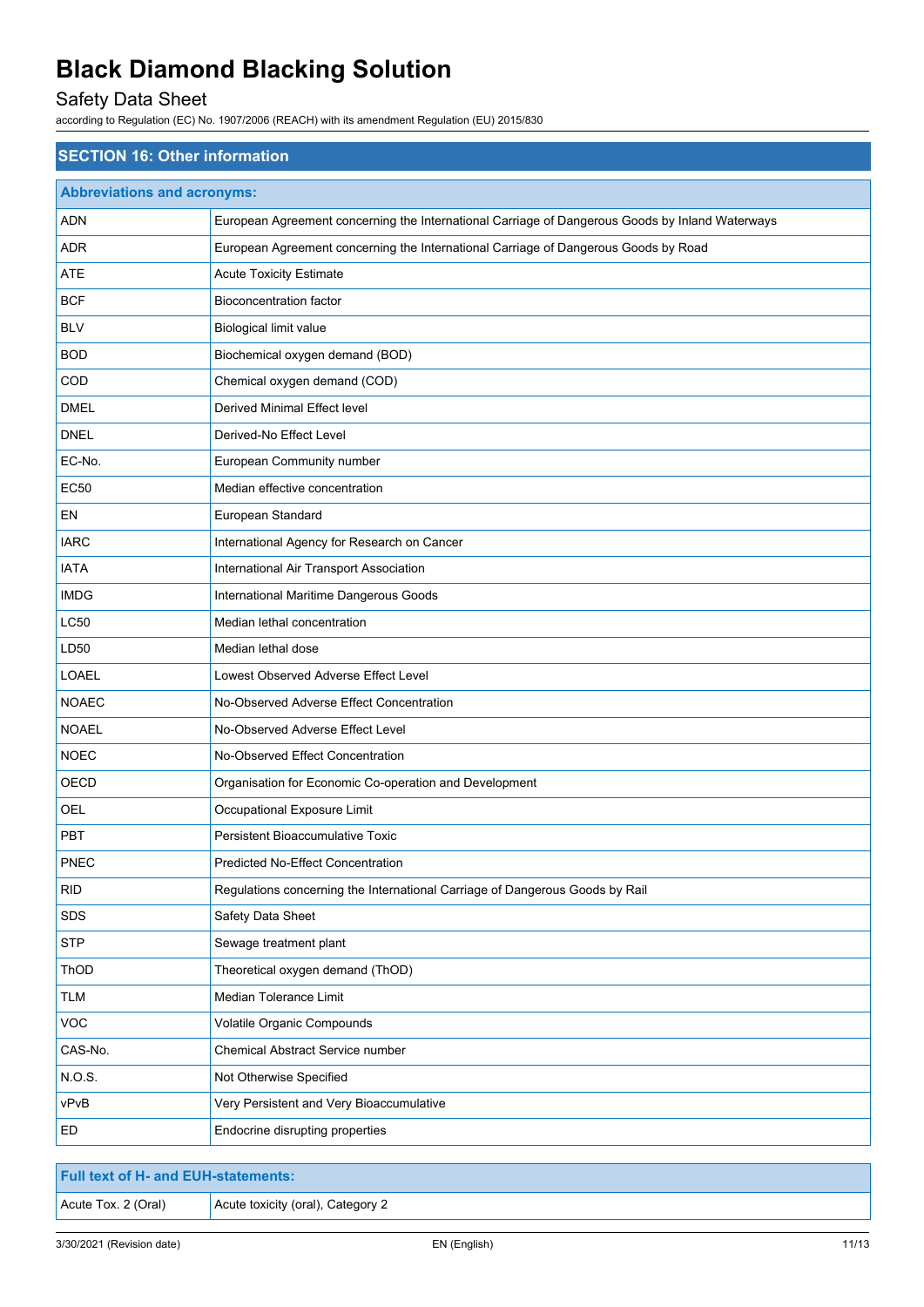## Safety Data Sheet

| <b>Abbreviations and acronyms:</b><br>European Agreement concerning the International Carriage of Dangerous Goods by Inland Waterways<br>ADN<br><b>ADR</b><br>European Agreement concerning the International Carriage of Dangerous Goods by Road<br><b>ATE</b><br><b>Acute Toxicity Estimate</b><br><b>BCF</b><br><b>Bioconcentration factor</b><br>BLV<br>Biological limit value<br><b>BOD</b><br>Biochemical oxygen demand (BOD)<br>Chemical oxygen demand (COD)<br>COD |
|----------------------------------------------------------------------------------------------------------------------------------------------------------------------------------------------------------------------------------------------------------------------------------------------------------------------------------------------------------------------------------------------------------------------------------------------------------------------------|
|                                                                                                                                                                                                                                                                                                                                                                                                                                                                            |
|                                                                                                                                                                                                                                                                                                                                                                                                                                                                            |
|                                                                                                                                                                                                                                                                                                                                                                                                                                                                            |
|                                                                                                                                                                                                                                                                                                                                                                                                                                                                            |
|                                                                                                                                                                                                                                                                                                                                                                                                                                                                            |
|                                                                                                                                                                                                                                                                                                                                                                                                                                                                            |
|                                                                                                                                                                                                                                                                                                                                                                                                                                                                            |
|                                                                                                                                                                                                                                                                                                                                                                                                                                                                            |
| <b>DMEL</b><br>Derived Minimal Effect level                                                                                                                                                                                                                                                                                                                                                                                                                                |
| <b>DNEL</b><br>Derived-No Effect Level                                                                                                                                                                                                                                                                                                                                                                                                                                     |
| EC-No.<br>European Community number                                                                                                                                                                                                                                                                                                                                                                                                                                        |
| <b>EC50</b><br>Median effective concentration                                                                                                                                                                                                                                                                                                                                                                                                                              |
| EN<br>European Standard                                                                                                                                                                                                                                                                                                                                                                                                                                                    |
| <b>IARC</b><br>International Agency for Research on Cancer                                                                                                                                                                                                                                                                                                                                                                                                                 |
| <b>IATA</b><br>International Air Transport Association                                                                                                                                                                                                                                                                                                                                                                                                                     |
| <b>IMDG</b><br>International Maritime Dangerous Goods                                                                                                                                                                                                                                                                                                                                                                                                                      |
| LC50<br>Median lethal concentration                                                                                                                                                                                                                                                                                                                                                                                                                                        |
| LD50<br>Median lethal dose                                                                                                                                                                                                                                                                                                                                                                                                                                                 |
| <b>LOAEL</b><br>Lowest Observed Adverse Effect Level                                                                                                                                                                                                                                                                                                                                                                                                                       |
| <b>NOAEC</b><br>No-Observed Adverse Effect Concentration                                                                                                                                                                                                                                                                                                                                                                                                                   |
| <b>NOAEL</b><br>No-Observed Adverse Effect Level                                                                                                                                                                                                                                                                                                                                                                                                                           |
| <b>NOEC</b><br>No-Observed Effect Concentration                                                                                                                                                                                                                                                                                                                                                                                                                            |
| OECD<br>Organisation for Economic Co-operation and Development                                                                                                                                                                                                                                                                                                                                                                                                             |
| <b>OEL</b><br>Occupational Exposure Limit                                                                                                                                                                                                                                                                                                                                                                                                                                  |
| PBT<br>Persistent Bioaccumulative Toxic                                                                                                                                                                                                                                                                                                                                                                                                                                    |
| <b>PNEC</b><br><b>Predicted No-Effect Concentration</b>                                                                                                                                                                                                                                                                                                                                                                                                                    |
| <b>RID</b><br>Regulations concerning the International Carriage of Dangerous Goods by Rail                                                                                                                                                                                                                                                                                                                                                                                 |
| SDS<br>Safety Data Sheet                                                                                                                                                                                                                                                                                                                                                                                                                                                   |
| <b>STP</b><br>Sewage treatment plant                                                                                                                                                                                                                                                                                                                                                                                                                                       |
| ThOD<br>Theoretical oxygen demand (ThOD)                                                                                                                                                                                                                                                                                                                                                                                                                                   |
| Median Tolerance Limit<br><b>TLM</b>                                                                                                                                                                                                                                                                                                                                                                                                                                       |
| VOC<br>Volatile Organic Compounds                                                                                                                                                                                                                                                                                                                                                                                                                                          |
| CAS-No.<br>Chemical Abstract Service number                                                                                                                                                                                                                                                                                                                                                                                                                                |
| N.O.S.<br>Not Otherwise Specified                                                                                                                                                                                                                                                                                                                                                                                                                                          |
| vPvB<br>Very Persistent and Very Bioaccumulative                                                                                                                                                                                                                                                                                                                                                                                                                           |
| ED<br>Endocrine disrupting properties                                                                                                                                                                                                                                                                                                                                                                                                                                      |

| <b>Full text of H- and EUH-statements:</b> |                                   |  |
|--------------------------------------------|-----------------------------------|--|
| Acute Tox. 2 (Oral)                        | Acute toxicity (oral), Category 2 |  |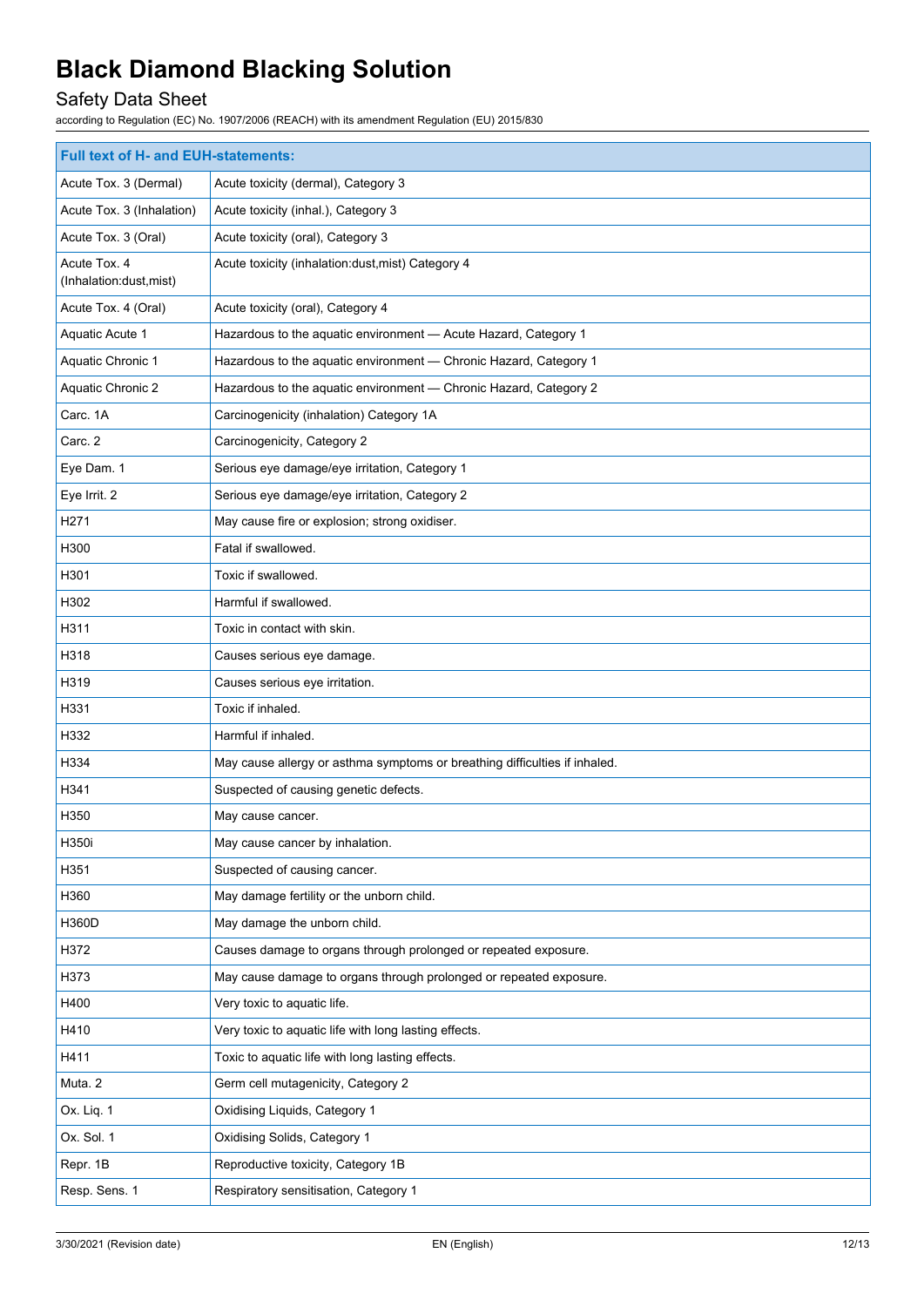## Safety Data Sheet

| <b>Full text of H- and EUH-statements:</b> |                                                                            |  |
|--------------------------------------------|----------------------------------------------------------------------------|--|
| Acute Tox. 3 (Dermal)                      | Acute toxicity (dermal), Category 3                                        |  |
| Acute Tox. 3 (Inhalation)                  | Acute toxicity (inhal.), Category 3                                        |  |
| Acute Tox. 3 (Oral)                        | Acute toxicity (oral), Category 3                                          |  |
| Acute Tox. 4<br>(Inhalation:dust, mist)    | Acute toxicity (inhalation:dust, mist) Category 4                          |  |
| Acute Tox. 4 (Oral)                        | Acute toxicity (oral), Category 4                                          |  |
| Aquatic Acute 1                            | Hazardous to the aquatic environment - Acute Hazard, Category 1            |  |
| Aquatic Chronic 1                          | Hazardous to the aquatic environment - Chronic Hazard, Category 1          |  |
| Aquatic Chronic 2                          | Hazardous to the aquatic environment - Chronic Hazard, Category 2          |  |
| Carc. 1A                                   | Carcinogenicity (inhalation) Category 1A                                   |  |
| Carc. 2                                    | Carcinogenicity, Category 2                                                |  |
| Eye Dam. 1                                 | Serious eye damage/eye irritation, Category 1                              |  |
| Eye Irrit. 2                               | Serious eye damage/eye irritation, Category 2                              |  |
| H271                                       | May cause fire or explosion; strong oxidiser.                              |  |
| H300                                       | Fatal if swallowed.                                                        |  |
| H301                                       | Toxic if swallowed.                                                        |  |
| H302                                       | Harmful if swallowed.                                                      |  |
| H311                                       | Toxic in contact with skin.                                                |  |
| H318                                       | Causes serious eye damage.                                                 |  |
| H319                                       | Causes serious eye irritation.                                             |  |
| H331                                       | Toxic if inhaled.                                                          |  |
| H332                                       | Harmful if inhaled.                                                        |  |
| H334                                       | May cause allergy or asthma symptoms or breathing difficulties if inhaled. |  |
| H341                                       | Suspected of causing genetic defects.                                      |  |
| H350                                       | May cause cancer.                                                          |  |
| H350i                                      | May cause cancer by inhalation.                                            |  |
| H351                                       | Suspected of causing cancer.                                               |  |
| H360                                       | May damage fertility or the unborn child.                                  |  |
| H360D                                      | May damage the unborn child.                                               |  |
| H372                                       | Causes damage to organs through prolonged or repeated exposure.            |  |
| H373                                       | May cause damage to organs through prolonged or repeated exposure.         |  |
| H400                                       | Very toxic to aquatic life.                                                |  |
| H410                                       | Very toxic to aquatic life with long lasting effects.                      |  |
| H411                                       | Toxic to aquatic life with long lasting effects.                           |  |
| Muta. 2                                    | Germ cell mutagenicity, Category 2                                         |  |
| Ox. Liq. 1                                 | Oxidising Liquids, Category 1                                              |  |
| Ox. Sol. 1                                 | Oxidising Solids, Category 1                                               |  |
| Repr. 1B                                   | Reproductive toxicity, Category 1B                                         |  |
| Resp. Sens. 1                              | Respiratory sensitisation, Category 1                                      |  |